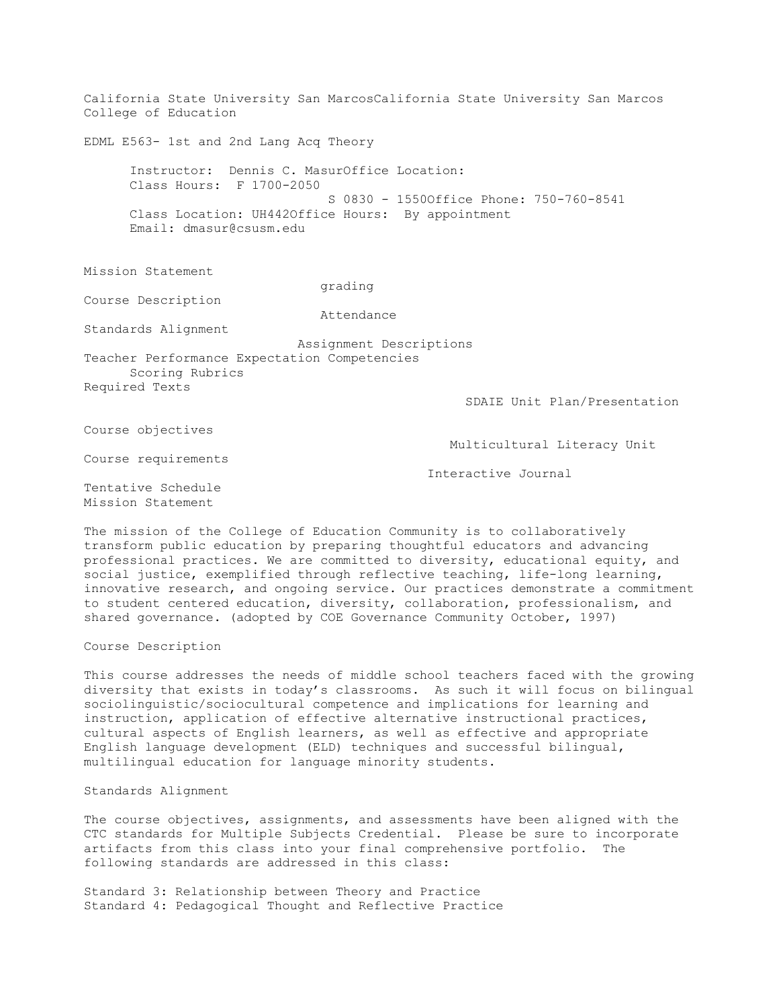California State University San MarcosCalifornia State University San Marcos College of Education EDML E563- 1st and 2nd Lang Acq Theory Instructor: Dennis C. MasurOffice Location: Class Hours: F 1700-2050 S 0830 - 1550Office Phone: 750-760-8541 Class Location: UH442Office Hours: By appointment Email: dmasur@csusm.edu Mission Statement grading Course Description Attendance Standards Alignment Assignment Descriptions Teacher Performance Expectation Competencies Scoring Rubrics Required Texts SDAIE Unit Plan/Presentation Course objectives Multicultural Literacy Unit Course requirements Interactive Journal Tentative Schedule Mission Statement

The mission of the College of Education Community is to collaboratively transform public education by preparing thoughtful educators and advancing professional practices. We are committed to diversity, educational equity, and social justice, exemplified through reflective teaching, life-long learning, innovative research, and ongoing service. Our practices demonstrate a commitment to student centered education, diversity, collaboration, professionalism, and shared governance. (adopted by COE Governance Community October, 1997)

Course Description

This course addresses the needs of middle school teachers faced with the growing diversity that exists in today's classrooms. As such it will focus on bilingual sociolinguistic/sociocultural competence and implications for learning and instruction, application of effective alternative instructional practices, cultural aspects of English learners, as well as effective and appropriate English language development (ELD) techniques and successful bilingual, multilingual education for language minority students.

Standards Alignment

The course objectives, assignments, and assessments have been aligned with the CTC standards for Multiple Subjects Credential. Please be sure to incorporate artifacts from this class into your final comprehensive portfolio. The following standards are addressed in this class:

Standard 3: Relationship between Theory and Practice Standard 4: Pedagogical Thought and Reflective Practice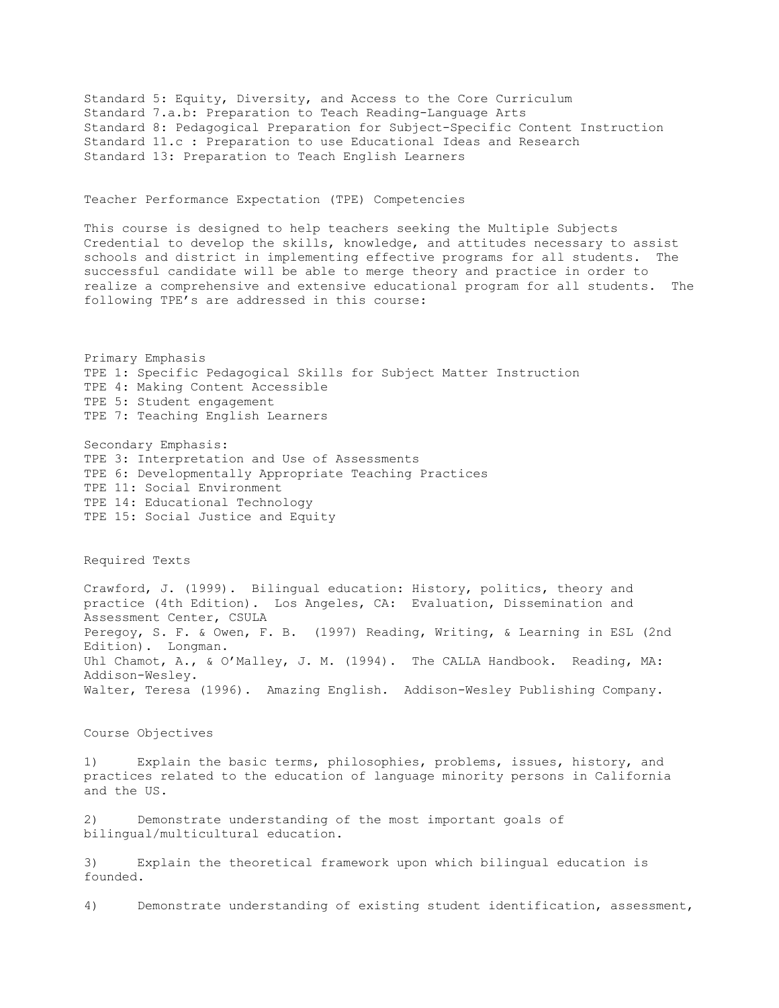Standard 5: Equity, Diversity, and Access to the Core Curriculum Standard 7.a.b: Preparation to Teach Reading-Language Arts Standard 8: Pedagogical Preparation for Subject-Specific Content Instruction Standard 11.c : Preparation to use Educational Ideas and Research Standard 13: Preparation to Teach English Learners

## Teacher Performance Expectation (TPE) Competencies

This course is designed to help teachers seeking the Multiple Subjects Credential to develop the skills, knowledge, and attitudes necessary to assist schools and district in implementing effective programs for all students. The successful candidate will be able to merge theory and practice in order to realize a comprehensive and extensive educational program for all students. The following TPE's are addressed in this course:

Primary Emphasis TPE 1: Specific Pedagogical Skills for Subject Matter Instruction TPE 4: Making Content Accessible TPE 5: Student engagement TPE 7: Teaching English Learners

Secondary Emphasis: TPE 3: Interpretation and Use of Assessments TPE 6: Developmentally Appropriate Teaching Practices TPE 11: Social Environment TPE 14: Educational Technology TPE 15: Social Justice and Equity

Required Texts

Crawford, J. (1999). Bilingual education: History, politics, theory and practice (4th Edition). Los Angeles, CA: Evaluation, Dissemination and Assessment Center, CSULA Peregoy, S. F. & Owen, F. B. (1997) Reading, Writing, & Learning in ESL (2nd Edition). Longman. Uhl Chamot, A., & O'Malley, J. M. (1994). The CALLA Handbook. Reading, MA: Addison-Wesley. Walter, Teresa (1996). Amazing English. Addison-Wesley Publishing Company.

## Course Objectives

1) Explain the basic terms, philosophies, problems, issues, history, and practices related to the education of language minority persons in California and the US.

2) Demonstrate understanding of the most important goals of bilingual/multicultural education.

3) Explain the theoretical framework upon which bilingual education is founded.

4) Demonstrate understanding of existing student identification, assessment,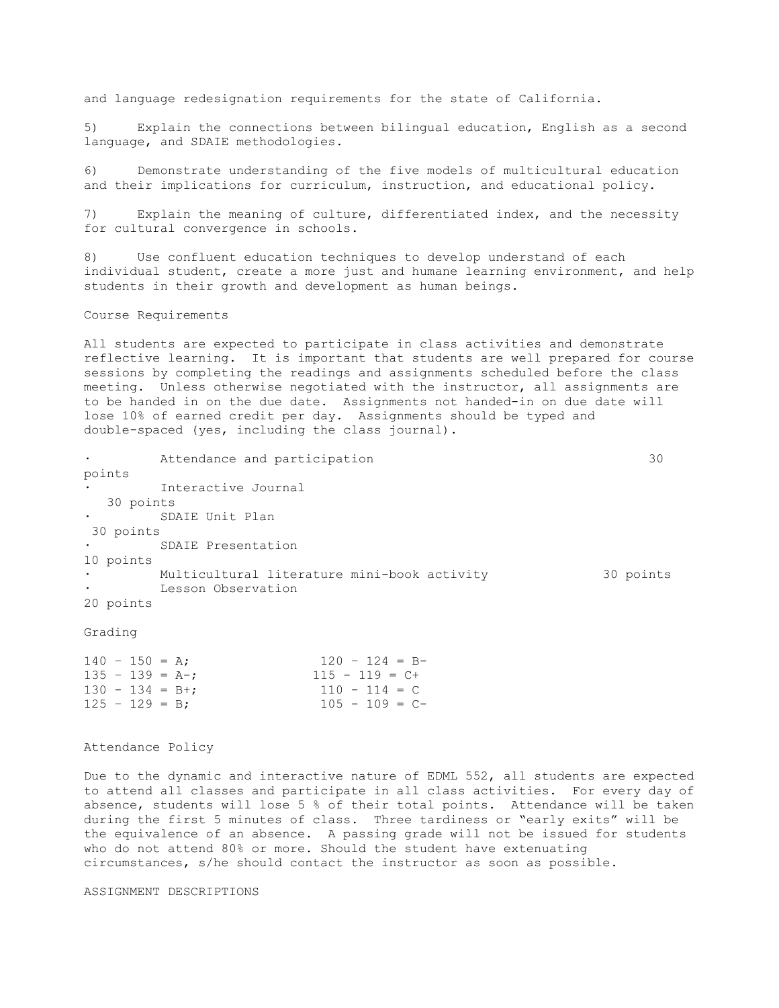and language redesignation requirements for the state of California.

5) Explain the connections between bilingual education, English as a second language, and SDAIE methodologies.

6) Demonstrate understanding of the five models of multicultural education and their implications for curriculum, instruction, and educational policy.

7) Explain the meaning of culture, differentiated index, and the necessity for cultural convergence in schools.

8) Use confluent education techniques to develop understand of each individual student, create a more just and humane learning environment, and help students in their growth and development as human beings.

## Course Requirements

All students are expected to participate in class activities and demonstrate reflective learning. It is important that students are well prepared for course sessions by completing the readings and assignments scheduled before the class meeting. Unless otherwise negotiated with the instructor, all assignments are to be handed in on the due date. Assignments not handed-in on due date will lose 10% of earned credit per day. Assignments should be typed and double-spaced (yes, including the class journal).

|           | Attendance and participation                |           |  |  |  |  |
|-----------|---------------------------------------------|-----------|--|--|--|--|
| points    |                                             |           |  |  |  |  |
| $\bullet$ | Interactive Journal                         |           |  |  |  |  |
| 30 points |                                             |           |  |  |  |  |
|           | SDAIE Unit Plan                             |           |  |  |  |  |
| 30 points |                                             |           |  |  |  |  |
|           | SDAIE Presentation                          |           |  |  |  |  |
| 10 points |                                             |           |  |  |  |  |
|           | Multicultural literature mini-book activity | 30 points |  |  |  |  |
|           | Lesson Observation                          |           |  |  |  |  |
| 20 points |                                             |           |  |  |  |  |

Grading

|  | $140 - 150 = A$   |  | $120 - 124 = B -$ |
|--|-------------------|--|-------------------|
|  | $135 - 139 = A -$ |  | $115 - 119 = C +$ |
|  | $130 - 134 = B +$ |  | $110 - 114 = C$   |
|  | $125 - 129 = B$   |  | $105 - 109 = C -$ |

## Attendance Policy

Due to the dynamic and interactive nature of EDML 552, all students are expected to attend all classes and participate in all class activities. For every day of absence, students will lose 5 % of their total points. Attendance will be taken during the first 5 minutes of class. Three tardiness or "early exits" will be the equivalence of an absence. A passing grade will not be issued for students who do not attend 80% or more. Should the student have extenuating circumstances, s/he should contact the instructor as soon as possible.

ASSIGNMENT DESCRIPTIONS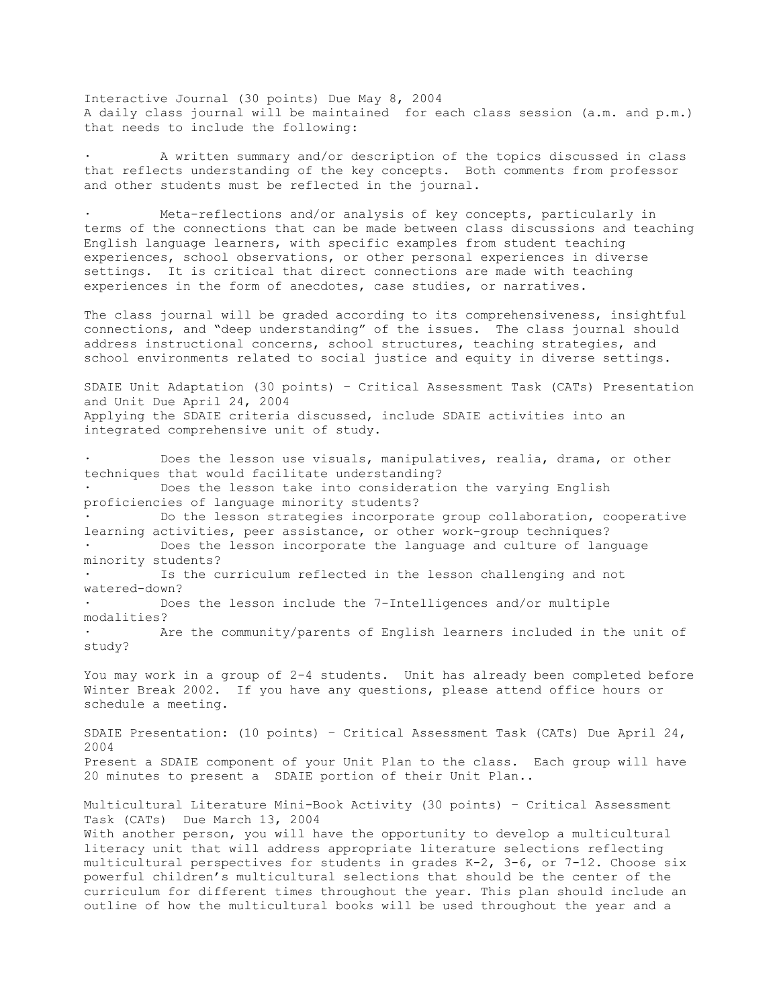Interactive Journal (30 points) Due May 8, 2004 A daily class journal will be maintained for each class session (a.m. and p.m.) that needs to include the following:

A written summary and/or description of the topics discussed in class that reflects understanding of the key concepts. Both comments from professor and other students must be reflected in the journal.

Meta-reflections and/or analysis of key concepts, particularly in terms of the connections that can be made between class discussions and teaching English language learners, with specific examples from student teaching experiences, school observations, or other personal experiences in diverse settings. It is critical that direct connections are made with teaching experiences in the form of anecdotes, case studies, or narratives.

The class journal will be graded according to its comprehensiveness, insightful connections, and "deep understanding" of the issues. The class journal should address instructional concerns, school structures, teaching strategies, and school environments related to social justice and equity in diverse settings.

SDAIE Unit Adaptation (30 points) – Critical Assessment Task (CATs) Presentation and Unit Due April 24, 2004 Applying the SDAIE criteria discussed, include SDAIE activities into an integrated comprehensive unit of study.

Does the lesson use visuals, manipulatives, realia, drama, or other techniques that would facilitate understanding? Does the lesson take into consideration the varying English proficiencies of language minority students? Do the lesson strategies incorporate group collaboration, cooperative learning activities, peer assistance, or other work-group techniques? Does the lesson incorporate the language and culture of language minority students? Is the curriculum reflected in the lesson challenging and not watered-down? Does the lesson include the 7-Intelligences and/or multiple modalities? Are the community/parents of English learners included in the unit of study? You may work in a group of 2-4 students. Unit has already been completed before Winter Break 2002. If you have any questions, please attend office hours or schedule a meeting. SDAIE Presentation: (10 points) – Critical Assessment Task (CATs) Due April 24, 2004 Present a SDAIE component of your Unit Plan to the class. Each group will have 20 minutes to present a SDAIE portion of their Unit Plan.. Multicultural Literature Mini-Book Activity (30 points) – Critical Assessment Task (CATs) Due March 13, 2004 With another person, you will have the opportunity to develop a multicultural literacy unit that will address appropriate literature selections reflecting multicultural perspectives for students in grades K-2, 3-6, or 7-12. Choose six powerful children's multicultural selections that should be the center of the curriculum for different times throughout the year. This plan should include an outline of how the multicultural books will be used throughout the year and a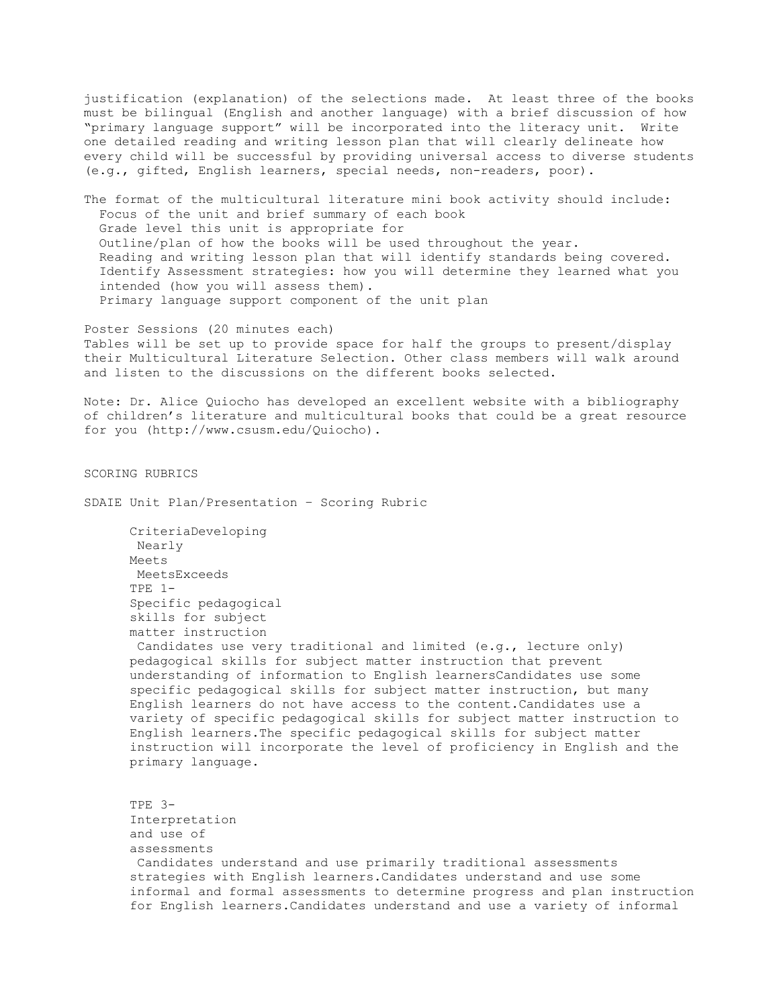justification (explanation) of the selections made. At least three of the books must be bilingual (English and another language) with a brief discussion of how "primary language support" will be incorporated into the literacy unit. Write one detailed reading and writing lesson plan that will clearly delineate how every child will be successful by providing universal access to diverse students (e.g., gifted, English learners, special needs, non-readers, poor).

The format of the multicultural literature mini book activity should include: Focus of the unit and brief summary of each book Grade level this unit is appropriate for Outline/plan of how the books will be used throughout the year. Reading and writing lesson plan that will identify standards being covered. Identify Assessment strategies: how you will determine they learned what you intended (how you will assess them). Primary language support component of the unit plan

Poster Sessions (20 minutes each) Tables will be set up to provide space for half the groups to present/display their Multicultural Literature Selection. Other class members will walk around and listen to the discussions on the different books selected.

Note: Dr. Alice Quiocho has developed an excellent website with a bibliography of children's literature and multicultural books that could be a great resource for you (http://www.csusm.edu/Quiocho).

SCORING RUBRICS

SDAIE Unit Plan/Presentation – Scoring Rubric

 CriteriaDeveloping Nearly Meets MeetsExceeds TPE 1- Specific pedagogical skills for subject matter instruction Candidates use very traditional and limited (e.g., lecture only) pedagogical skills for subject matter instruction that prevent understanding of information to English learnersCandidates use some specific pedagogical skills for subject matter instruction, but many English learners do not have access to the content.Candidates use a variety of specific pedagogical skills for subject matter instruction to English learners.The specific pedagogical skills for subject matter instruction will incorporate the level of proficiency in English and the primary language.

 TPE 3- Interpretation and use of assessments Candidates understand and use primarily traditional assessments strategies with English learners.Candidates understand and use some informal and formal assessments to determine progress and plan instruction for English learners.Candidates understand and use a variety of informal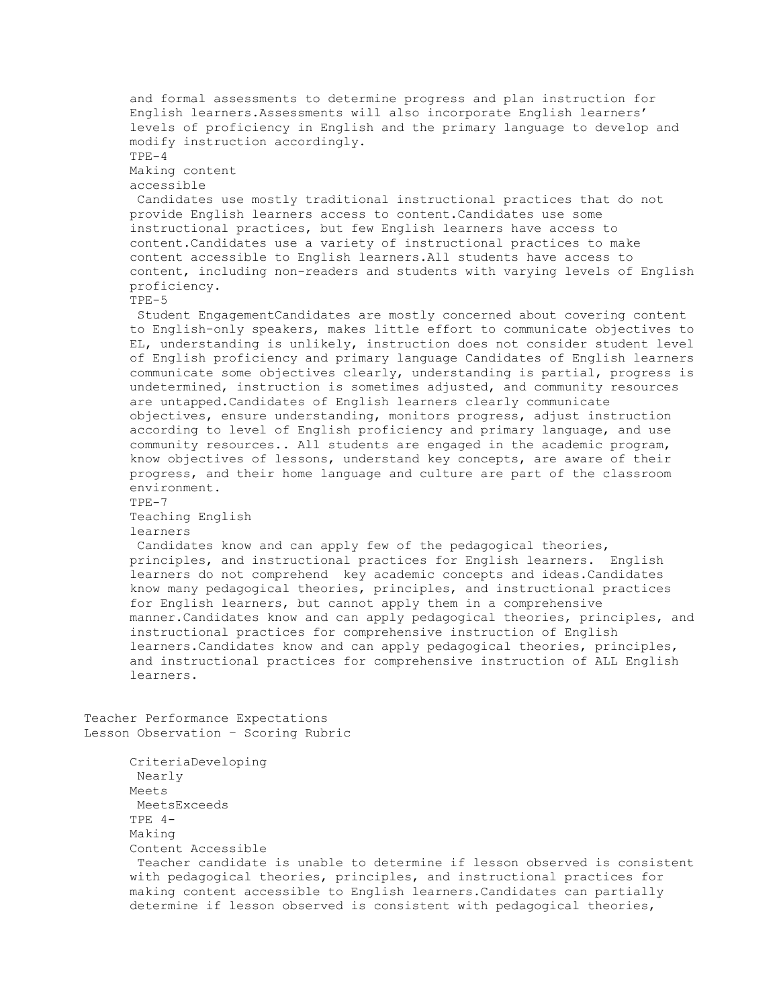and formal assessments to determine progress and plan instruction for English learners.Assessments will also incorporate English learners' levels of proficiency in English and the primary language to develop and modify instruction accordingly.  $TPE-4$  Making content accessible Candidates use mostly traditional instructional practices that do not provide English learners access to content.Candidates use some instructional practices, but few English learners have access to content.Candidates use a variety of instructional practices to make content accessible to English learners.All students have access to content, including non-readers and students with varying levels of English proficiency. TPE-5 Student EngagementCandidates are mostly concerned about covering content to English-only speakers, makes little effort to communicate objectives to EL, understanding is unlikely, instruction does not consider student level of English proficiency and primary language Candidates of English learners communicate some objectives clearly, understanding is partial, progress is undetermined, instruction is sometimes adjusted, and community resources are untapped.Candidates of English learners clearly communicate objectives, ensure understanding, monitors progress, adjust instruction according to level of English proficiency and primary language, and use community resources.. All students are engaged in the academic program, know objectives of lessons, understand key concepts, are aware of their progress, and their home language and culture are part of the classroom environment.  $TPF-7$  Teaching English learners Candidates know and can apply few of the pedagogical theories, principles, and instructional practices for English learners. English learners do not comprehend key academic concepts and ideas.Candidates know many pedagogical theories, principles, and instructional practices for English learners, but cannot apply them in a comprehensive manner.Candidates know and can apply pedagogical theories, principles, and instructional practices for comprehensive instruction of English learners.Candidates know and can apply pedagogical theories, principles, and instructional practices for comprehensive instruction of ALL English learners. Teacher Performance Expectations Lesson Observation – Scoring Rubric CriteriaDeveloping Nearly Meets MeetsExceeds TPE 4- Making Content Accessible Teacher candidate is unable to determine if lesson observed is consistent with pedagogical theories, principles, and instructional practices for making content accessible to English learners.Candidates can partially determine if lesson observed is consistent with pedagogical theories,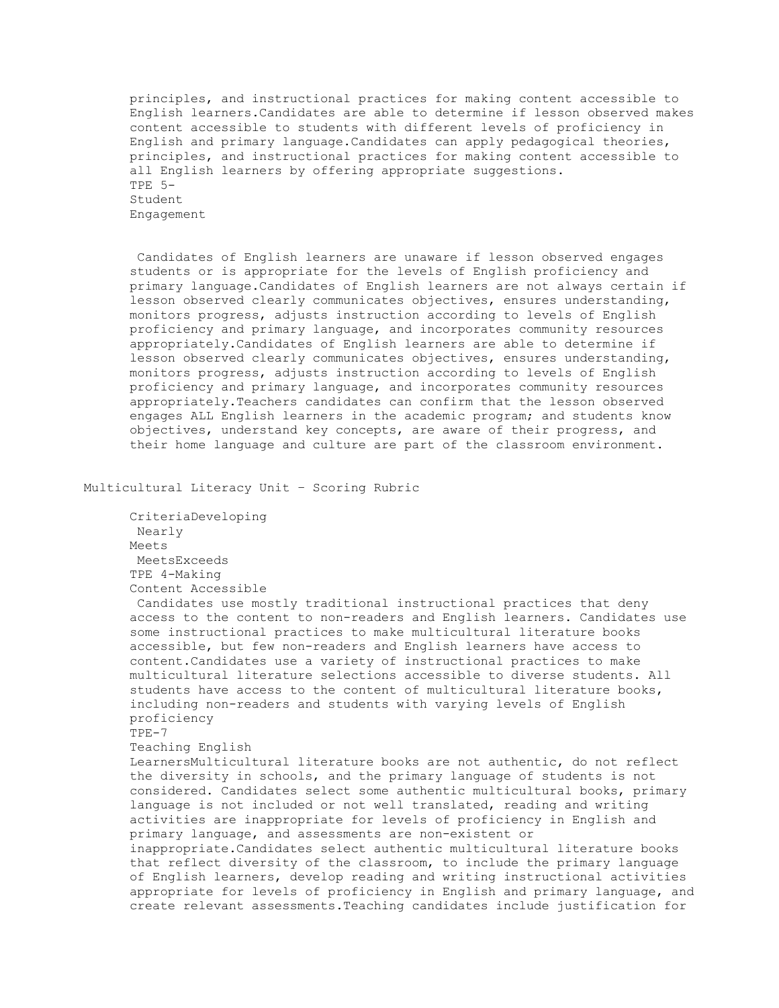principles, and instructional practices for making content accessible to English learners.Candidates are able to determine if lesson observed makes content accessible to students with different levels of proficiency in English and primary language.Candidates can apply pedagogical theories, principles, and instructional practices for making content accessible to all English learners by offering appropriate suggestions. TPE 5- Student Engagement

 Candidates of English learners are unaware if lesson observed engages students or is appropriate for the levels of English proficiency and primary language.Candidates of English learners are not always certain if lesson observed clearly communicates objectives, ensures understanding, monitors progress, adjusts instruction according to levels of English proficiency and primary language, and incorporates community resources appropriately.Candidates of English learners are able to determine if lesson observed clearly communicates objectives, ensures understanding, monitors progress, adjusts instruction according to levels of English proficiency and primary language, and incorporates community resources appropriately.Teachers candidates can confirm that the lesson observed engages ALL English learners in the academic program; and students know objectives, understand key concepts, are aware of their progress, and their home language and culture are part of the classroom environment.

Multicultural Literacy Unit – Scoring Rubric

 CriteriaDeveloping Nearly Meets MeetsExceeds TPE 4-Making Content Accessible

 Candidates use mostly traditional instructional practices that deny access to the content to non-readers and English learners. Candidates use some instructional practices to make multicultural literature books accessible, but few non-readers and English learners have access to content.Candidates use a variety of instructional practices to make multicultural literature selections accessible to diverse students. All students have access to the content of multicultural literature books, including non-readers and students with varying levels of English proficiency

TPE-7

Teaching English

 LearnersMulticultural literature books are not authentic, do not reflect the diversity in schools, and the primary language of students is not considered. Candidates select some authentic multicultural books, primary language is not included or not well translated, reading and writing activities are inappropriate for levels of proficiency in English and primary language, and assessments are non-existent or inappropriate.Candidates select authentic multicultural literature books that reflect diversity of the classroom, to include the primary language of English learners, develop reading and writing instructional activities appropriate for levels of proficiency in English and primary language, and create relevant assessments.Teaching candidates include justification for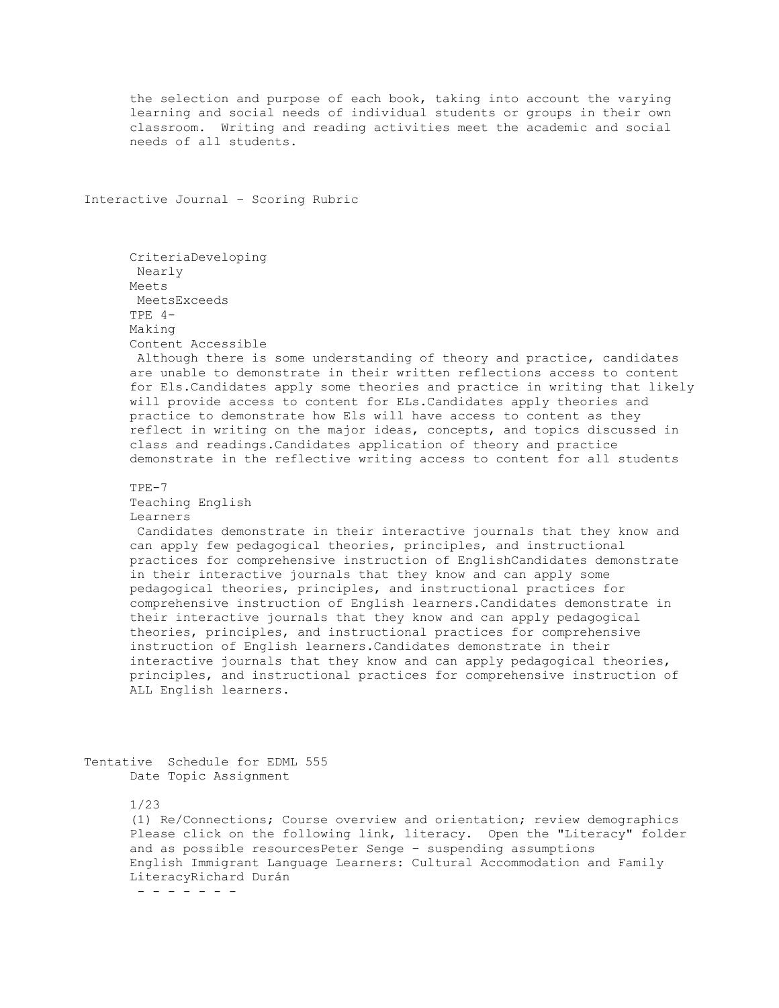the selection and purpose of each book, taking into account the varying learning and social needs of individual students or groups in their own classroom. Writing and reading activities meet the academic and social needs of all students.

Interactive Journal – Scoring Rubric

 CriteriaDeveloping Nearly Meets MeetsExceeds TPE 4- Making Content Accessible

 Although there is some understanding of theory and practice, candidates are unable to demonstrate in their written reflections access to content for Els.Candidates apply some theories and practice in writing that likely will provide access to content for ELs.Candidates apply theories and practice to demonstrate how Els will have access to content as they reflect in writing on the major ideas, concepts, and topics discussed in class and readings.Candidates application of theory and practice demonstrate in the reflective writing access to content for all students

 TPE-7 Teaching English Learners

 Candidates demonstrate in their interactive journals that they know and can apply few pedagogical theories, principles, and instructional practices for comprehensive instruction of EnglishCandidates demonstrate in their interactive journals that they know and can apply some pedagogical theories, principles, and instructional practices for comprehensive instruction of English learners.Candidates demonstrate in their interactive journals that they know and can apply pedagogical theories, principles, and instructional practices for comprehensive instruction of English learners.Candidates demonstrate in their interactive journals that they know and can apply pedagogical theories, principles, and instructional practices for comprehensive instruction of ALL English learners.

Tentative Schedule for EDML 555 Date Topic Assignment

1/23

 (1) Re/Connections; Course overview and orientation; review demographics Please click on the following link, literacy. Open the "Literacy" folder and as possible resourcesPeter Senge – suspending assumptions English Immigrant Language Learners: Cultural Accommodation and Family LiteracyRichard Durán - - - - - - -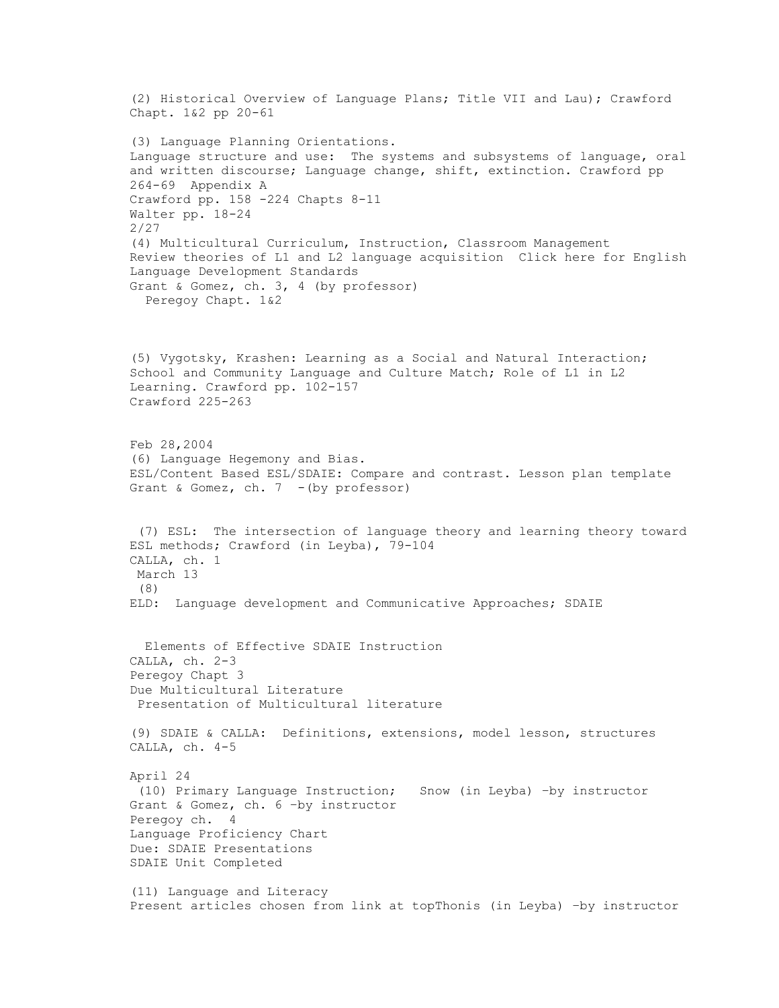(2) Historical Overview of Language Plans; Title VII and Lau); Crawford Chapt. 1&2 pp 20-61 (3) Language Planning Orientations. Language structure and use: The systems and subsystems of language, oral and written discourse; Language change, shift, extinction. Crawford pp 264-69 Appendix A Crawford pp. 158 -224 Chapts 8-11 Walter pp. 18-24 2/27 (4) Multicultural Curriculum, Instruction, Classroom Management Review theories of L1 and L2 language acquisition Click here for English Language Development Standards Grant & Gomez, ch. 3, 4 (by professor) Peregoy Chapt. 1&2 (5) Vygotsky, Krashen: Learning as a Social and Natural Interaction; School and Community Language and Culture Match; Role of L1 in L2 Learning. Crawford pp. 102-157 Crawford 225-263 Feb 28,2004 (6) Language Hegemony and Bias. ESL/Content Based ESL/SDAIE: Compare and contrast. Lesson plan template Grant & Gomez, ch.  $7 - (by professor)$  (7) ESL: The intersection of language theory and learning theory toward ESL methods; Crawford (in Leyba), 79-104 CALLA, ch. 1 March 13 (8) ELD: Language development and Communicative Approaches; SDAIE Elements of Effective SDAIE Instruction CALLA, ch. 2-3 Peregoy Chapt 3 Due Multicultural Literature Presentation of Multicultural literature (9) SDAIE & CALLA: Definitions, extensions, model lesson, structures CALLA, ch. 4-5 April 24 (10) Primary Language Instruction; Snow (in Leyba) –by instructor Grant & Gomez, ch. 6 –by instructor Peregoy ch. 4 Language Proficiency Chart Due: SDAIE Presentations SDAIE Unit Completed (11) Language and Literacy Present articles chosen from link at topThonis (in Leyba) –by instructor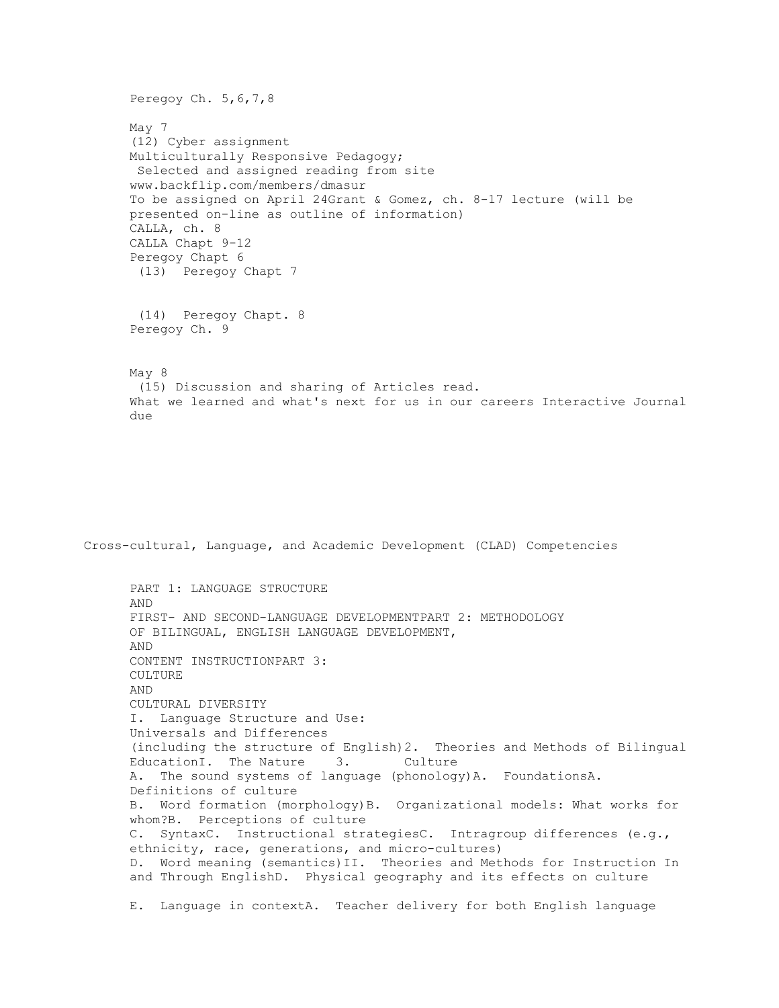Peregoy Ch. 5, 6, 7, 8 May 7 (12) Cyber assignment Multiculturally Responsive Pedagogy; Selected and assigned reading from site www.backflip.com/members/dmasur To be assigned on April 24Grant & Gomez, ch. 8-17 lecture (will be presented on-line as outline of information) CALLA, ch. 8 CALLA Chapt 9-12 Peregoy Chapt 6 (13) Peregoy Chapt 7 (14) Peregoy Chapt. 8 Peregoy Ch. 9 May 8 (15) Discussion and sharing of Articles read. What we learned and what's next for us in our careers Interactive Journal due

Cross-cultural, Language, and Academic Development (CLAD) Competencies

 PART 1: LANGUAGE STRUCTURE AND FIRST- AND SECOND-LANGUAGE DEVELOPMENTPART 2: METHODOLOGY OF BILINGUAL, ENGLISH LANGUAGE DEVELOPMENT, AND CONTENT INSTRUCTIONPART 3: CULTURE AND CULTURAL DIVERSITY I. Language Structure and Use: Universals and Differences (including the structure of English)2. Theories and Methods of Bilingual EducationI. The Nature 3. Culture A. The sound systems of language (phonology)A. FoundationsA. Definitions of culture B. Word formation (morphology)B. Organizational models: What works for whom?B. Perceptions of culture C. SyntaxC. Instructional strategiesC. Intragroup differences (e.g., ethnicity, race, generations, and micro-cultures) D. Word meaning (semantics)II. Theories and Methods for Instruction In and Through EnglishD. Physical geography and its effects on culture E. Language in contextA. Teacher delivery for both English language